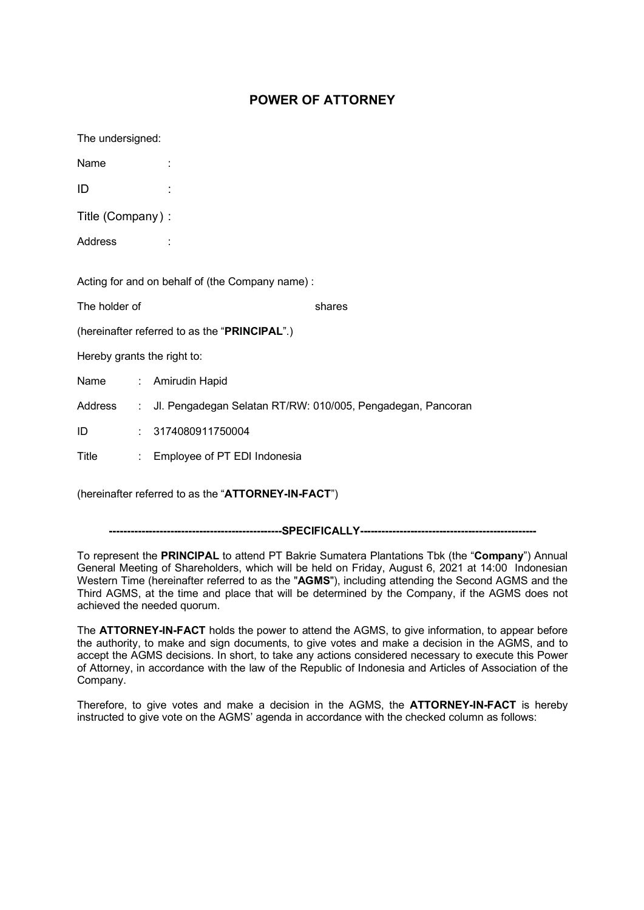## **POWER OF ATTORNEY**

| The undersigned:                                |  |                                                                       |  |  |  |  |  |  |
|-------------------------------------------------|--|-----------------------------------------------------------------------|--|--|--|--|--|--|
| Name                                            |  |                                                                       |  |  |  |  |  |  |
| ID                                              |  |                                                                       |  |  |  |  |  |  |
| Title (Company):                                |  |                                                                       |  |  |  |  |  |  |
| Address                                         |  |                                                                       |  |  |  |  |  |  |
| Acting for and on behalf of (the Company name): |  |                                                                       |  |  |  |  |  |  |
| The holder of                                   |  | shares                                                                |  |  |  |  |  |  |
|                                                 |  | (hereinafter referred to as the "PRINCIPAL".)                         |  |  |  |  |  |  |
| Hereby grants the right to:                     |  |                                                                       |  |  |  |  |  |  |
|                                                 |  | Name : Amirudin Hapid                                                 |  |  |  |  |  |  |
|                                                 |  | Address : Jl. Pengadegan Selatan RT/RW: 010/005, Pengadegan, Pancoran |  |  |  |  |  |  |
| ID                                              |  | : 3174080911750004                                                    |  |  |  |  |  |  |
| Title                                           |  | : Employee of PT EDI Indonesia                                        |  |  |  |  |  |  |
|                                                 |  |                                                                       |  |  |  |  |  |  |

(hereinafter referred to as the "**ATTORNEY-IN-FACT**")

**------------------------------------------------SPECIFICALLY-------------------------------------------------**

To represent the **PRINCIPAL** to attend PT Bakrie Sumatera Plantations Tbk (the "**Company**") Annual General Meeting of Shareholders, which will be held on Friday, August 6, 2021 at 14:00 Indonesian Western Time (hereinafter referred to as the "**AGMS**"), including attending the Second AGMS and the Third AGMS, at the time and place that will be determined by the Company, if the AGMS does not achieved the needed quorum.

The **ATTORNEY-IN-FACT** holds the power to attend the AGMS, to give information, to appear before the authority, to make and sign documents, to give votes and make a decision in the AGMS, and to accept the AGMS decisions. In short, to take any actions considered necessary to execute this Power of Attorney, in accordance with the law of the Republic of Indonesia and Articles of Association of the Company.

Therefore, to give votes and make a decision in the AGMS, the **ATTORNEY-IN-FACT** is hereby instructed to give vote on the AGMS' agenda in accordance with the checked column as follows: